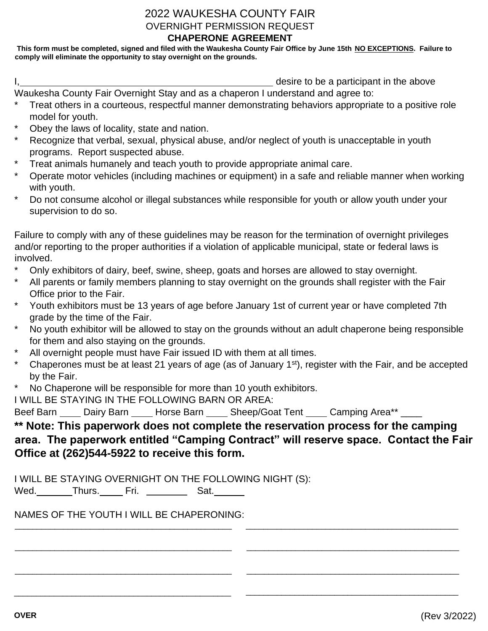## 2022 WAUKESHA COUNTY FAIR OVERNIGHT PERMISSION REQUEST

## **CHAPERONE AGREEMENT**

**This form must be completed, signed and filed with the Waukesha County Fair Office by June 15th NO EXCEPTIONS. Failure to comply will eliminate the opportunity to stay overnight on the grounds.**

I, the state of the state of the state of the state of the above desire to be a participant in the above Waukesha County Fair Overnight Stay and as a chaperon I understand and agree to:

- Treat others in a courteous, respectful manner demonstrating behaviors appropriate to a positive role model for youth.
- Obey the laws of locality, state and nation.
- Recognize that verbal, sexual, physical abuse, and/or neglect of youth is unacceptable in youth programs. Report suspected abuse.
- Treat animals humanely and teach youth to provide appropriate animal care.
- Operate motor vehicles (including machines or equipment) in a safe and reliable manner when working with youth.
- Do not consume alcohol or illegal substances while responsible for youth or allow youth under your supervision to do so.

Failure to comply with any of these guidelines may be reason for the termination of overnight privileges and/or reporting to the proper authorities if a violation of applicable municipal, state or federal laws is involved.

- Only exhibitors of dairy, beef, swine, sheep, goats and horses are allowed to stay overnight.
- All parents or family members planning to stay overnight on the grounds shall register with the Fair Office prior to the Fair.
- Youth exhibitors must be 13 years of age before January 1st of current year or have completed 7th grade by the time of the Fair.
- No youth exhibitor will be allowed to stay on the grounds without an adult chaperone being responsible for them and also staying on the grounds.
- All overnight people must have Fair issued ID with them at all times.
- Chaperones must be at least 21 years of age (as of January 1<sup>st</sup>), register with the Fair, and be accepted by the Fair.
- No Chaperone will be responsible for more than 10 youth exhibitors.

I WILL BE STAYING IN THE FOLLOWING BARN OR AREA:

Beef Barn Cairy Barn Carl Horse Barn Contemporal Tent Camping Area\*\* \_\_\_\_\_\_\_\_\_\_\_

## **\*\* Note: This paperwork does not complete the reservation process for the camping area. The paperwork entitled "Camping Contract" will reserve space. Contact the Fair Office at (262)544-5922 to receive this form.**

\_\_\_\_\_\_\_\_\_\_\_\_\_\_\_\_\_\_\_\_\_\_\_\_\_\_\_\_\_\_\_\_\_\_\_\_\_\_\_\_\_\_\_\_\_\_\_\_\_ \_\_\_\_\_\_\_\_\_\_\_\_\_\_\_\_\_\_\_\_\_\_\_\_\_\_\_\_\_\_\_\_\_\_\_\_\_\_\_\_\_\_\_\_\_\_\_\_

\_\_\_\_\_\_\_\_\_\_\_\_\_\_\_\_\_\_\_\_\_\_\_\_\_\_\_\_\_\_\_\_\_\_\_\_\_\_\_\_\_\_\_\_\_\_\_\_\_ \_\_\_\_\_\_\_\_\_\_\_\_\_\_\_\_\_\_\_\_\_\_\_\_\_\_\_\_\_\_\_\_\_\_\_\_\_\_\_\_\_\_\_\_\_\_\_\_

\_\_\_\_\_\_\_\_\_\_\_\_\_\_\_\_\_\_\_\_\_\_\_\_\_\_\_\_\_\_\_\_\_\_\_\_\_\_\_\_\_\_\_\_\_\_\_\_\_ \_\_\_\_\_\_\_\_\_\_\_\_\_\_\_\_\_\_\_\_\_\_\_\_\_\_\_\_\_\_\_\_\_\_\_\_\_\_\_\_\_\_\_\_\_\_\_\_

I WILL BE STAYING OVERNIGHT ON THE FOLLOWING NIGHT (S):

Wed. Thurs. Fri. <u>Channell</u> Sat.

NAMES OF THE YOUTH I WILL BE CHAPERONING:

\_\_\_\_\_\_\_\_\_\_\_\_\_\_\_\_\_\_\_\_\_\_\_\_\_\_\_\_\_\_\_\_\_\_\_\_\_\_\_\_\_\_\_\_\_\_\_\_\_

\_\_\_\_\_\_\_\_\_\_\_\_\_\_\_\_\_\_\_\_\_\_\_\_\_\_\_\_\_\_\_\_\_\_\_\_\_\_\_\_\_\_\_\_\_\_\_\_